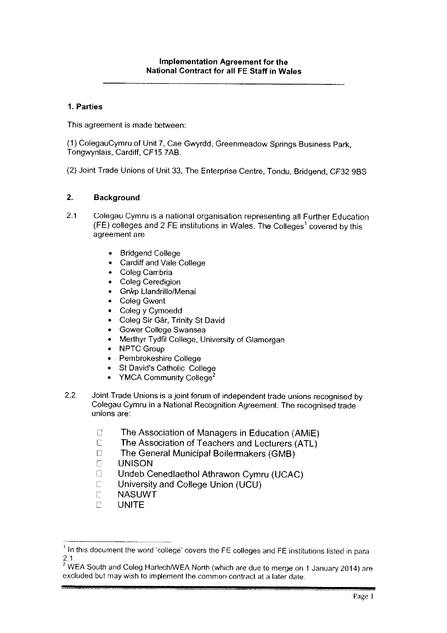# 1. Parties

This agreement is made between:

(1) ColegauCymru of Unit 7, Cae Gwyrdd, Greenmeadow Springs Business Park, Tongwynlais, Cardiff, CF15 7AB.

(2) Joint Trade Unions of Unit 33, The Enterprise Centre, Tondu, Bridgend, CF32 9BS

### 2. Background

- 2.1 Colegau Cymru is <sup>a</sup> national organisation representing all Further Education (FE) colleges and 2 FE institutions in Wales. The Colleges<sup>1</sup> covered by this agreement are
	- •Bridgend College
	- •Cardiff and Vale College
	- •Coleg Cambria
	- •Coleg Ceredigion
	- •Grŵp Llandrillo/Menai
	- •Coleg Gwent
	- •Coleg y Cymoedd
	- •Coleg Sir Gar, Trinity St David
	- •Gower College Swansea
	- •Merthyr Tydfil College, University of Glamorgan
	- •NPTC Group
	- •Pembrokeshire College
	- •St David's Catholic College
	- •YMCA Community College<sup>2</sup>
- 2.2 Joint Trade Unions is <sup>a</sup> joint forum of independent trade unions recognised by Colegau Cymru in <sup>a</sup> National Recognition Agreement. The recognised trade unions are:
	- $\Box$ The Association of Managers in Education (AMiE)  $\mathbb{C}$ 
		- The Association of Teachers and Lecturers (ATL)
	- $\Box$  The General Municipal Boilermakers (GMB)
	- **E** UNISON
	- $\Box$ Undeb Cenedlaethol Athrawon Cymru (UCAC)
	- $\begin{bmatrix} 1 & 1 \\ 1 & 1 \end{bmatrix}$ University and College Union (UCU)
	- $\overline{C}$ NASUWT
	- $\Box$ UNITE

 $<sup>1</sup>$  In this document the word 'college' covers the FE colleges and FE institutions listed in para</sup> 2.1

 $^{\circ}$  WEA South and Coleg Harlech/WEA North (which are due to merge on 1 January 2014) are. excluded but may wish to implement the common contract at a later date.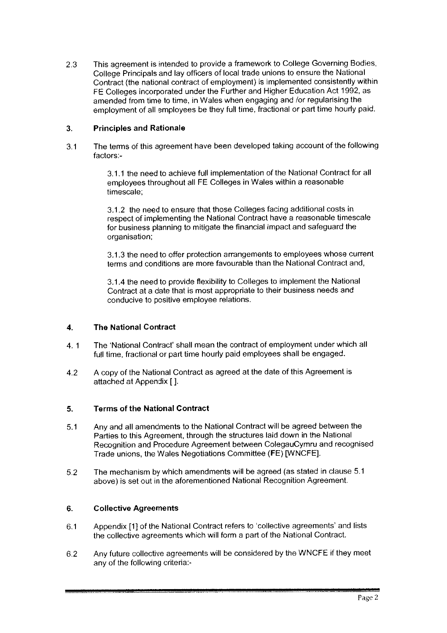2.3 This agreemen<sup>t</sup> is intended to provide <sup>a</sup> framework to College Governing Bodies, College Principals and lay officers of local trade unions to ensure the National Contract (the national contract of employment) is implemented consistently within FE Colleges incorporated under the Further and Higher Education Act 1992, as amended from time to time, in Wales when engaging and /or regularising the employment of all employees be they full time, fractional or par<sup>t</sup> time hourly paid.

# 3. Principles and Rationale

3.1 The terms of this agreemen<sup>t</sup> have been developed taking account of the following factors:

> 3.1.1 the need to achieve full implementation of the National Contract for all employees throughout all FE Colleges in Wales within <sup>a</sup> reasonable timescale;

> 3.1.2 the need to ensure that those Colleges facing additional costs in respec<sup>t</sup> of implementing the National Contract have <sup>a</sup> reasonable timescale for business <sup>p</sup>lanning to mitigate the financial impact and safeguard the organisation;

3.1.3 the need to offer protection arrangements to employees whose current terms and conditions are more favourable than the National Contract and.

31.4 the need to provide flexibility to Colleges to implement the National Contract at <sup>a</sup> date that is most appropriate to their business needs and conducive to positive employee relations.

### 4. The National Contract

- 4. 1 The 'National Contract' shall mean the contract of employment under which all full time, fractional or par<sup>t</sup> time hourly paid employees shall be engaged.
- 4.2 <sup>A</sup> copy of the National Contract as agree<sup>d</sup> at the date of this Agreement is attached at Appendix [].

### 5. Terms of the National Contract

- 5.1 Any and all amendments to the National Contract will be agree<sup>d</sup> between the Parties to this Agreement, through the structures laid down in the National Recognition and Procedure Agreement between ColegauCymru and recognised Trade unions, the Wales Negotiations Committee (FE) [WNCFEI.
- 5.2 The mechanism by which amendments will be agreed (as stated in clause 5.1 above) is set out in the aforementioned National Recognition Agreement.

### 6. Collective Agreements

- 6.1 Appendix [1] of the National Contract refers to 'collective agreements' and lists the collective agreements which will form a part of the National Contract.
- 6.2 Any future collective agreements will be considered by the WNCFE if they meet any of the following criteria:-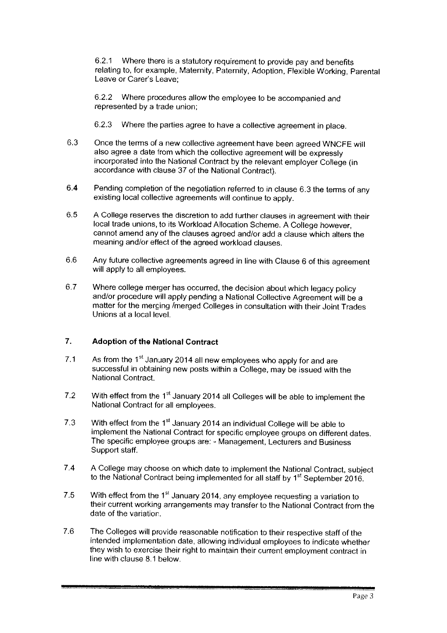62.1 Where there is <sup>a</sup> statutory requirement to provide pay and benefits relating to, for example, Maternity, Paternity, Adoption, Flexible Working, Parental Leave or Carer's Leave;

62.2 Where procedures allow the employee to be accompanied and represented by <sup>a</sup> trade union;

- 6.2.3 Where the parties agree to have <sup>a</sup> collective agreement in <sup>p</sup>lace.
- 6.3 Once the terms of <sup>a</sup> new collective agreement have been agreed WNCFE will also agree <sup>a</sup> date from which the collective agreement will be expressly incorporated into the National Contract by the relevant employer College (in accordance with clause 37 of the National Contract).
- 6.4 Pending completion of the negotiation referred to in clause 6.3 the terms of any existing local collective agreements will continue to apply.
- 6.5 <sup>A</sup> College reserves the discretion to add further clauses in agreement with their local trade unions, to its Workload Allocation Scheme. <sup>A</sup> College however, cannot amend any of the clauses agreed and/or add <sup>a</sup> clause which alters the meaning and/or effect of the agreed workload clauses.
- 6.6 Any future collective agreements agreed in line with Clause <sup>6</sup> of this agreement will apply to all employees.
- 6.7 Where college merger has occurred, the decision about which legacy policy and/or procedure will apply pending <sup>a</sup> National Collective Agreement will be <sup>a</sup> matter for the merging /merged Colleges in consultation with their Joint Trades Unions at <sup>a</sup> local level.

# 7. Adoption of the National Contract

- 7.1 As from the  $1<sup>st</sup>$  January 2014 all new employees who apply for and are successful in obtaining new posts within <sup>a</sup> College, may be issued with the National Contract.
- 7.2 With effect from the  $1<sup>st</sup>$  January 2014 all Colleges will be able to implement the National Contract for all employees.
- 7.3 With effect from the  $1<sup>st</sup>$  January 2014 an individual College will be able to implement the National Contract for specific employee groups on different dates. The specific employee groups are: - Management, Lecturers and Business Support staff.
- 7.4 <sup>A</sup> College may choose on which date to implement the National Contract, subject to the National Contract being implemented for all staff by 1<sup>st</sup> September 2016.
- 7.5 With effect from the  $1<sup>st</sup>$  January 2014, any employee requesting a variation to their current working arrangements may transfer to the National Contract from the date of the variation.
- 7.6 The Colleges will provide reasonable notification to their respective staff of the intended implementation date, allowing individual employees to indicate whether they wish to exercise their right to maintain their current employment contract in line with clause 8,1 below.